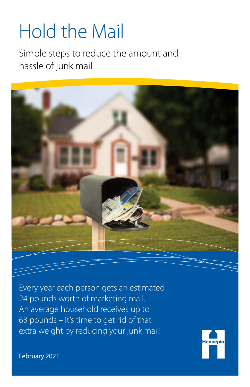# Hold the Mail

Simple steps to reduce the amount and hassle of junk mail



Every year each person gets an estimated 24 pounds worth of marketing mail. An average household receives up to 63 pounds – it's time to get rid of that extra weight by reducing your junk mail!



February 2021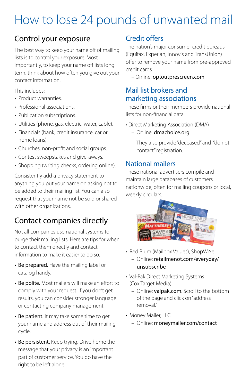# How to lose 24 pounds of unwanted mail

### Control your exposure

The best way to keep your name off of mailing lists is to control your exposure. Most importantly, to keep your name off lists long term, think about how often you give out your contact information.

This includes:

- Product warranties.
- Professional associations.
- Publication subscriptions.
- Utilities (phone, gas, electric, water, cable).
- Financials (bank, credit insurance, car or home loans).
- Churches, non-profit and social groups.
- Contest sweepstakes and give-aways.
- Shopping (writing checks, ordering online).

Consistently add a privacy statement to anything you put your name on asking not to be added to their mailing list. You can also request that your name not be sold or shared with other organizations.

# Contact companies directly

Not all companies use national systems to purge their mailing lists. Here are tips for when to contact them directly and contact information to make it easier to do so.

- Be prepared. Have the mailing label or catalog handy.
- Be polite. Most mailers will make an effort to comply with your request. If you don't get results, you can consider stronger language or contacting company management.
- Be patient. It may take some time to get your name and address out of their mailing cycle.
- Be persistent. Keep trying. Drive home the message that your privacy is an important part of customer service. You do have the right to be left alone.

#### Credit offers

The nation's major consumer credit bureaus (Equifax, Experian, Innovis and TransUnion) offer to remove your name from pre-approved credit cards.

– Online: [optoutprescreen.com](http://optoutprescreen.com)

#### Mail list brokers and marketing associations

These firms or their members provide national lists for non-financial data.

- Direct Marketing Association (DMA)
	- Online: [dmachoice.org](http://dmachoice.org)
	- They also provide "deceased" and "do not contact" registration.

#### National mailers

These national advertisers compile and maintain large databases of customers nationwide, often for mailing coupons or local, weekly circulars.



- Red Plum (Mailbox Values), ShopWi\$e
	- Online: [retailmenot.com/everyday/](http://retailmenot.com/everyday/unsubscribe) [unsubscribe](http://retailmenot.com/everyday/unsubscribe)
- Val-Pak Direct Marketing Systems (Cox Target Media)
	- Online: [valpak.com](http://valpak.com). Scroll to the bottom of the page and click on "address removal."
- Money Mailer, LLC
	- Online: [moneymailer.com/contact](http://moneymailer.com/contact)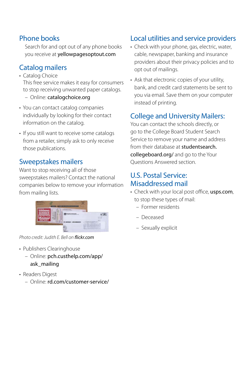#### Phone books

Search for and opt out of any phone books you receive at [yellowpagesoptout.com](http://yellowpagesoptout.com)

#### Catalog mailers

- Catalog Choice This free service makes it easy for consumers to stop receiving unwanted paper catalogs. – Online: [catalogchoice.org](http://catalogchoice.org)
- You can contact catalog companies individually by looking for their contact information on the catalog.
- If you still want to receive some catalogs from a retailer, simply ask to only receive those publications.

#### Sweepstakes mailers

Want to stop receiving all of those sweepstakes mailers? Contact the national companies below to remove your information from mailing lists.



*Photo credit: Judith E. Bell on flickr.com*

- Publishers Clearinghouse
	- Online: [pch.custhelp.com/app/](http://pch.custhelp.com/app/ask_mailing) [ask\\_mailing](http://pch.custhelp.com/app/ask_mailing)
- Readers Digest
	- Online: [rd.com/customer-service/](http://rd.com/customer-service/)

#### Local utilities and service providers

- Check with your phone, gas, electric, water, cable, newspaper, banking and insurance providers about their privacy policies and to opt out of mailings.
- Ask that electronic copies of your utility, bank, and credit card statements be sent to you via email. Save them on your computer instead of printing.

#### College and University Mailers:

You can contact the schools directly, or go to the College Board Student Search Service to remove your name and address from their database at [studentsearch.](http://studentsearch.collegeboard.org/) [collegeboard.org/](http://studentsearch.collegeboard.org/) and go to the Your Questions Answered section.

#### U.S. Postal Service: Misaddressed mail

- Check with your local post office, [usps.com](http://usps.com), to stop these types of mail:
	- Former residents
	- Deceased
	- Sexually explicit